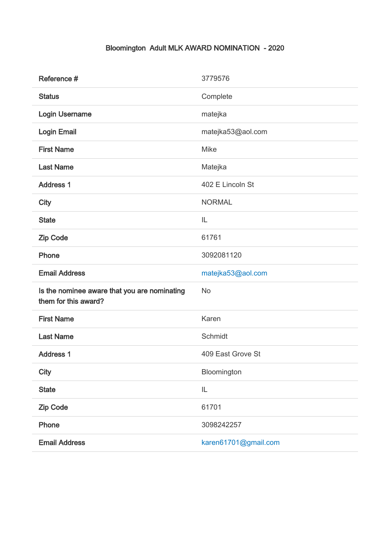## Bloomington Adult MLK AWARD NOMINATION - 2020

| Reference #                                                          | 3779576           |
|----------------------------------------------------------------------|-------------------|
| <b>Status</b>                                                        | Complete          |
| Login Username                                                       | matejka           |
| <b>Login Email</b>                                                   | matejka53@aol.com |
| <b>First Name</b>                                                    | <b>Mike</b>       |
| <b>Last Name</b>                                                     | Matejka           |
| <b>Address 1</b>                                                     | 402 E Lincoln St  |
| <b>City</b>                                                          | <b>NORMAL</b>     |
| <b>State</b>                                                         | IL                |
| <b>Zip Code</b>                                                      | 61761             |
| Phone                                                                | 3092081120        |
|                                                                      |                   |
| <b>Email Address</b>                                                 | matejka53@aol.com |
| Is the nominee aware that you are nominating<br>them for this award? | No                |
| <b>First Name</b>                                                    | Karen             |
| <b>Last Name</b>                                                     | Schmidt           |
| <b>Address 1</b>                                                     | 409 East Grove St |
| <b>City</b>                                                          | Bloomington       |
| <b>State</b>                                                         | IL                |
| <b>Zip Code</b>                                                      | 61701             |
| Phone                                                                | 3098242257        |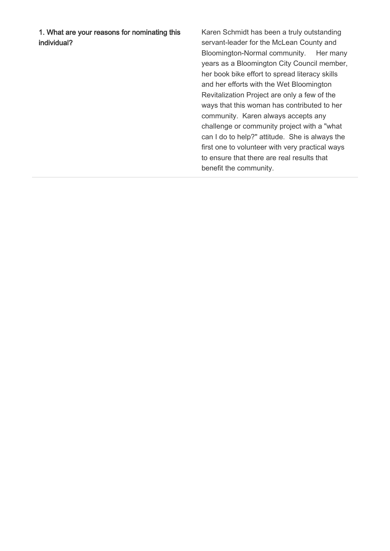1. What are your reasons for nominating this individual?

Karen Schmidt has been a truly outstanding servant-leader for the McLean County and Bloomington-Normal community. Her many years as a Bloomington City Council member, her book bike effort to spread literacy skills and her efforts with the Wet Bloomington Revitalization Project are only a few of the ways that this woman has contributed to her community. Karen always accepts any challenge or community project with a "what can I do to help?" attitude. She is always the first one to volunteer with very practical ways to ensure that there are real results that benefit the community.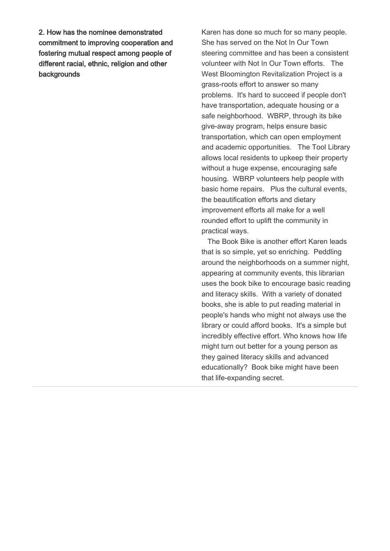2. How has the nominee demonstrated commitment to improving cooperation and fostering mutual respect among people of different racial, ethnic, religion and other backgrounds

Karen has done so much for so many people. She has served on the Not In Our Town steering committee and has been a consistent volunteer with Not In Our Town efforts. The West Bloomington Revitalization Project is a grass-roots effort to answer so many problems. It's hard to succeed if people don't have transportation, adequate housing or a safe neighborhood. WBRP, through its bike give-away program, helps ensure basic transportation, which can open employment and academic opportunities. The Tool Library allows local residents to upkeep their property without a huge expense, encouraging safe housing. WBRP volunteers help people with basic home repairs. Plus the cultural events, the beautification efforts and dietary improvement efforts all make for a well rounded effort to uplift the community in practical ways.

 The Book Bike is another effort Karen leads that is so simple, yet so enriching. Peddling around the neighborhoods on a summer night, appearing at community events, this librarian uses the book bike to encourage basic reading and literacy skills. With a variety of donated books, she is able to put reading material in people's hands who might not always use the library or could afford books. It's a simple but incredibly effective effort. Who knows how life might turn out better for a young person as they gained literacy skills and advanced educationally? Book bike might have been that life-expanding secret.